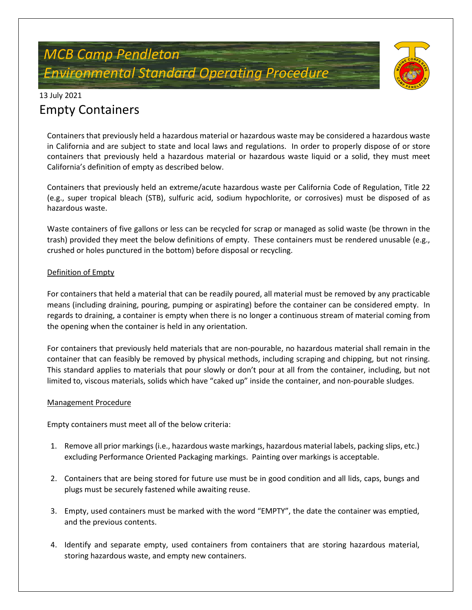## *MCB Camp Pendleton Environmental Standard Operating Procedure*



### 13 July 2021 Empty Containers

Containers that previously held a hazardous material or hazardous waste may be considered a hazardous waste in California and are subject to state and local laws and regulations. In order to properly dispose of or store containers that previously held a hazardous material or hazardous waste liquid or a solid, they must meet California's definition of empty as described below.

Containers that previously held an extreme/acute hazardous waste per California Code of Regulation, Title 22 (e.g., super tropical bleach (STB), sulfuric acid, sodium hypochlorite, or corrosives) must be disposed of as hazardous waste.

Waste containers of five gallons or less can be recycled for scrap or managed as solid waste (be thrown in the trash) provided they meet the below definitions of empty. These containers must be rendered unusable (e.g., crushed or holes punctured in the bottom) before disposal or recycling.

#### Definition of Empty

For containers that held a material that can be readily poured, all material must be removed by any practicable means (including draining, pouring, pumping or aspirating) before the container can be considered empty. In regards to draining, a container is empty when there is no longer a continuous stream of material coming from the opening when the container is held in any orientation.

For containers that previously held materials that are non-pourable, no hazardous material shall remain in the container that can feasibly be removed by physical methods, including scraping and chipping, but not rinsing. This standard applies to materials that pour slowly or don't pour at all from the container, including, but not limited to, viscous materials, solids which have "caked up" inside the container, and non-pourable sludges.

#### Management Procedure

Empty containers must meet all of the below criteria:

- 1. Remove all prior markings (i.e., hazardous waste markings, hazardous material labels, packing slips, etc.) excluding Performance Oriented Packaging markings. Painting over markings is acceptable.
- 2. Containers that are being stored for future use must be in good condition and all lids, caps, bungs and plugs must be securely fastened while awaiting reuse.
- 3. Empty, used containers must be marked with the word "EMPTY", the date the container was emptied, and the previous contents.
- 4. Identify and separate empty, used containers from containers that are storing hazardous material, storing hazardous waste, and empty new containers.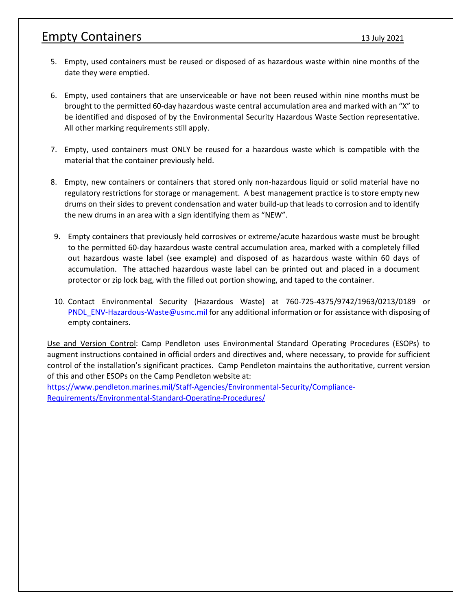## Empty Containers 13 July 2021

- 5. Empty, used containers must be reused or disposed of as hazardous waste within nine months of the date they were emptied.
- 6. Empty, used containers that are unserviceable or have not been reused within nine months must be brought to the permitted 60-day hazardous waste central accumulation area and marked with an "X" to be identified and disposed of by the Environmental Security Hazardous Waste Section representative. All other marking requirements still apply.
- 7. Empty, used containers must ONLY be reused for a hazardous waste which is compatible with the material that the container previously held.
- 8. Empty, new containers or containers that stored only non-hazardous liquid or solid material have no regulatory restrictions for storage or management. A best management practice is to store empty new drums on their sides to prevent condensation and water build-up that leads to corrosion and to identify the new drums in an area with a sign identifying them as "NEW".
- 9. Empty containers that previously held corrosives or extreme/acute hazardous waste must be brought to the permitted 60-day hazardous waste central accumulation area, marked with a completely filled out hazardous waste label (see example) and disposed of as hazardous waste within 60 days of accumulation. The attached hazardous waste label can be printed out and placed in a document protector or zip lock bag, with the filled out portion showing, and taped to the container.
- 10. Contact Environmental Security (Hazardous Waste) at 760-725-4375/9742/1963/0213/0189 or PNDL\_ENV-Hazardous-Waste@usmc.mil for any additional information or for assistance with disposing of empty containers.

Use and Version Control: Camp Pendleton uses Environmental Standard Operating Procedures (ESOPs) to augment instructions contained in official orders and directives and, where necessary, to provide for sufficient control of the installation's significant practices. Camp Pendleton maintains the authoritative, current version of this and other ESOPs on the Camp Pendleton website at:

[https://www.pendleton.marines.mil/Staff-Agencies/Environmental-Security/Compliance-](https://www.pendleton.marines.mil/Staff-Agencies/Environmental-Security/Compliance-Requirements/Environmental-Standard-Operating-Procedures/)[Requirements/Environmental-Standard-Operating-Procedures/](https://www.pendleton.marines.mil/Staff-Agencies/Environmental-Security/Compliance-Requirements/Environmental-Standard-Operating-Procedures/)